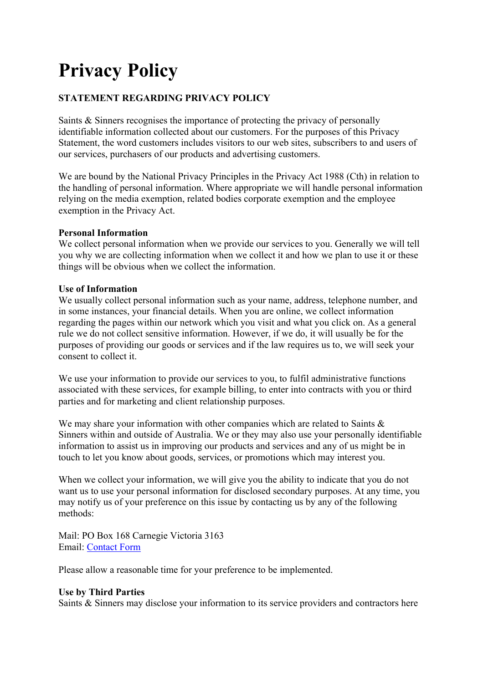# **Privacy Policy**

# **STATEMENT REGARDING PRIVACY POLICY**

Saints & Sinners recognises the importance of protecting the privacy of personally identifiable information collected about our customers. For the purposes of this Privacy Statement, the word customers includes visitors to our web sites, subscribers to and users of our services, purchasers of our products and advertising customers.

We are bound by the National Privacy Principles in the Privacy Act 1988 (Cth) in relation to the handling of personal information. Where appropriate we will handle personal information relying on the media exemption, related bodies corporate exemption and the employee exemption in the Privacy Act.

# **Personal Information**

We collect personal information when we provide our services to you. Generally we will tell you why we are collecting information when we collect it and how we plan to use it or these things will be obvious when we collect the information.

#### **Use of Information**

We usually collect personal information such as your name, address, telephone number, and in some instances, your financial details. When you are online, we collect information regarding the pages within our network which you visit and what you click on. As a general rule we do not collect sensitive information. However, if we do, it will usually be for the purposes of providing our goods or services and if the law requires us to, we will seek your consent to collect it.

We use your information to provide our services to you, to fulfil administrative functions associated with these services, for example billing, to enter into contracts with you or third parties and for marketing and client relationship purposes.

We may share your information with other companies which are related to Saints & Sinners within and outside of Australia. We or they may also use your personally identifiable information to assist us in improving our products and services and any of us might be in touch to let you know about goods, services, or promotions which may interest you.

When we collect your information, we will give you the ability to indicate that you do not want us to use your personal information for disclosed secondary purposes. At any time, you may notify us of your preference on this issue by contacting us by any of the following methods:

Mail: PO Box 168 Carnegie Victoria 3163 Email: Contact Form

Please allow a reasonable time for your preference to be implemented.

# **Use by Third Parties**

Saints & Sinners may disclose your information to its service providers and contractors here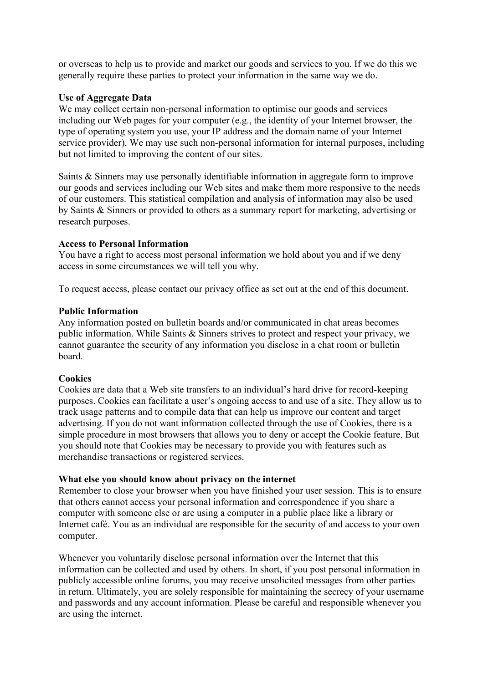or overseas to help us to provide and market our goods and services to you. If we do this we generally require these parties to protect your information in the same way we do.

#### **Use of Aggregate Data**

We may collect certain non-personal information to optimise our goods and services including our Web pages for your computer (e.g., the identity of your Internet browser, the type of operating system you use, your IP address and the domain name of your Internet service provider). We may use such non-personal information for internal purposes, including but not limited to improving the content of our sites.

Saints & Sinners may use personally identifiable information in aggregate form to improve our goods and services including our Web sites and make them more responsive to the needs of our customers. This statistical compilation and analysis of information may also be used by Saints & Sinners or provided to others as a summary report for marketing, advertising or research purposes.

#### **Access to Personal Information**

You have a right to access most personal information we hold about you and if we deny access in some circumstances we will tell you why.

To request access, please contact our privacy office as set out at the end of this document.

#### **Public Information**

Any information posted on bulletin boards and/or communicated in chat areas becomes public information. While Saints & Sinners strives to protect and respect your privacy, we cannot guarantee the security of any information you disclose in a chat room or bulletin board.

# **Cookies**

Cookies are data that a Web site transfers to an individual's hard drive for record-keeping purposes. Cookies can facilitate a user's ongoing access to and use of a site. They allow us to track usage patterns and to compile data that can help us improve our content and target advertising. If you do not want information collected through the use of Cookies, there is a simple procedure in most browsers that allows you to deny or accept the Cookie feature. But you should note that Cookies may be necessary to provide you with features such as merchandise transactions or registered services.

#### **What else you should know about privacy on the internet**

Remember to close your browser when you have finished your user session. This is to ensure that others cannot access your personal information and correspondence if you share a computer with someone else or are using a computer in a public place like a library or Internet café. You as an individual are responsible for the security of and access to your own computer.

Whenever you voluntarily disclose personal information over the Internet that this information can be collected and used by others. In short, if you post personal information in publicly accessible online forums, you may receive unsolicited messages from other parties in return. Ultimately, you are solely responsible for maintaining the secrecy of your username and passwords and any account information. Please be careful and responsible whenever you are using the internet.